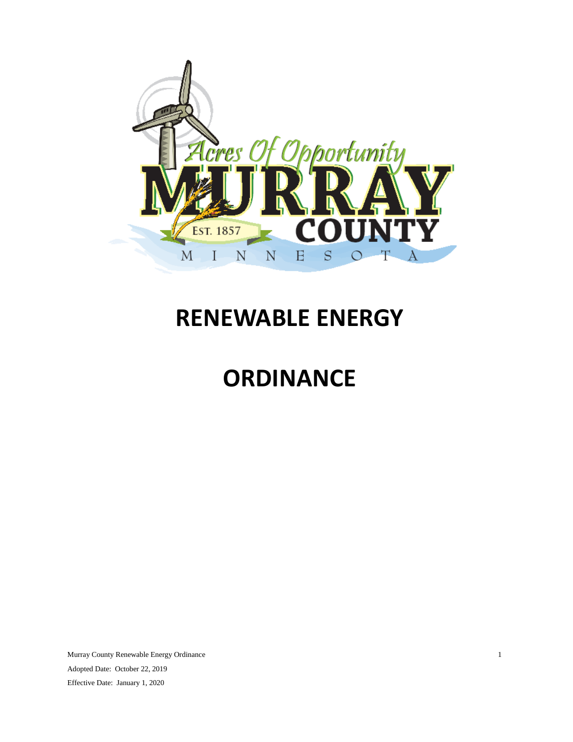

# <span id="page-0-1"></span><span id="page-0-0"></span>**RENEWABLE ENERGY**

# **ORDINANCE**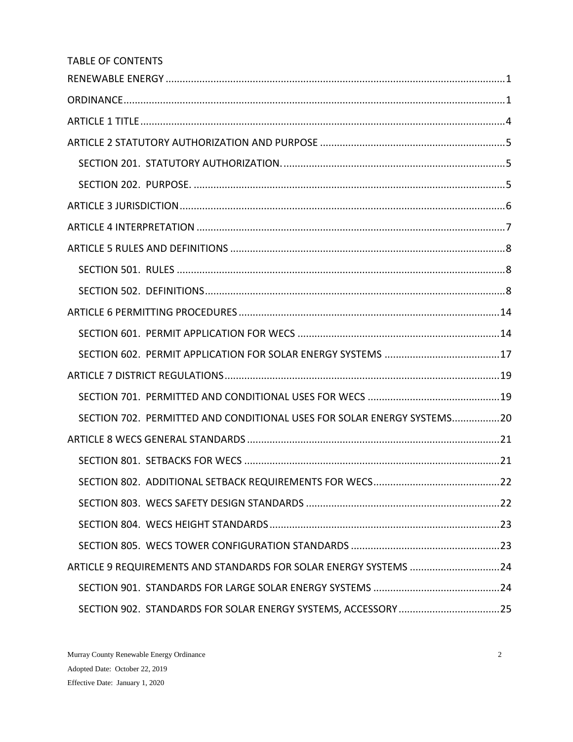| <b>TABLE OF CONTENTS</b>                                               |
|------------------------------------------------------------------------|
|                                                                        |
|                                                                        |
|                                                                        |
|                                                                        |
|                                                                        |
|                                                                        |
|                                                                        |
|                                                                        |
|                                                                        |
|                                                                        |
|                                                                        |
|                                                                        |
|                                                                        |
|                                                                        |
|                                                                        |
|                                                                        |
| SECTION 702. PERMITTED AND CONDITIONAL USES FOR SOLAR ENERGY SYSTEMS20 |
|                                                                        |
|                                                                        |
|                                                                        |
|                                                                        |
|                                                                        |
|                                                                        |
| ARTICLE 9 REQUIREMENTS AND STANDARDS FOR SOLAR ENERGY SYSTEMS 24       |
|                                                                        |
|                                                                        |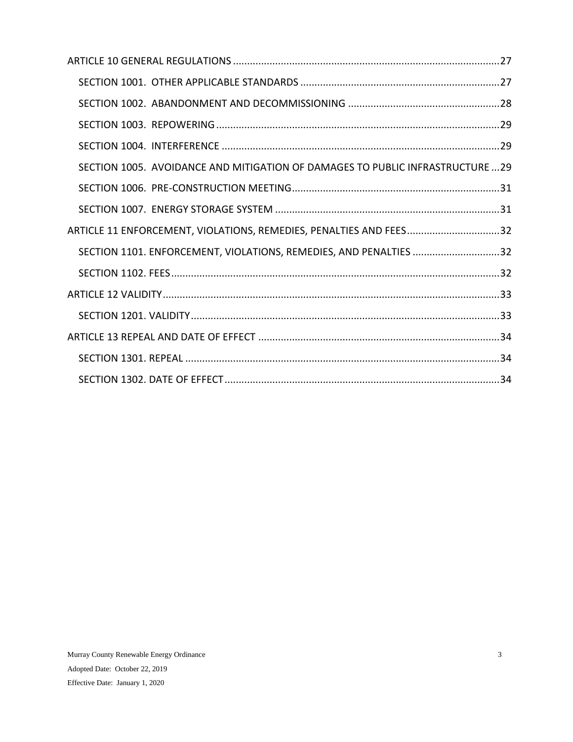| SECTION 1005. AVOIDANCE AND MITIGATION OF DAMAGES TO PUBLIC INFRASTRUCTURE  29 |  |
|--------------------------------------------------------------------------------|--|
|                                                                                |  |
|                                                                                |  |
| ARTICLE 11 ENFORCEMENT, VIOLATIONS, REMEDIES, PENALTIES AND FEES32             |  |
| SECTION 1101. ENFORCEMENT, VIOLATIONS, REMEDIES, AND PENALTIES 32              |  |
|                                                                                |  |
|                                                                                |  |
|                                                                                |  |
|                                                                                |  |
|                                                                                |  |
|                                                                                |  |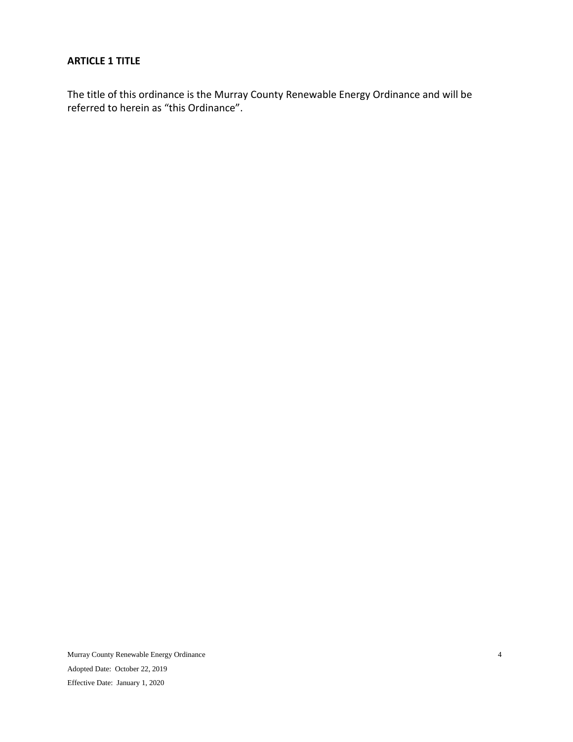## <span id="page-3-0"></span>**ARTICLE 1 TITLE**

The title of this ordinance is the Murray County Renewable Energy Ordinance and will be referred to herein as "this Ordinance".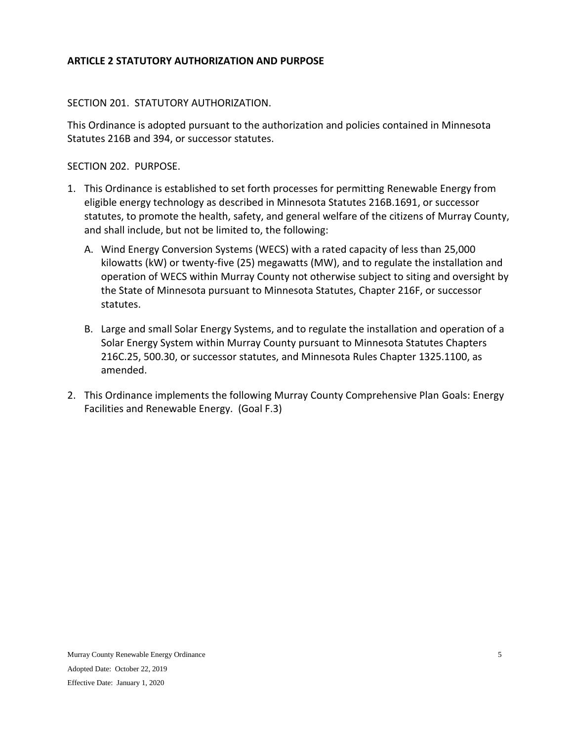## <span id="page-4-0"></span>**ARTICLE 2 STATUTORY AUTHORIZATION AND PURPOSE**

## <span id="page-4-1"></span>SECTION 201. STATUTORY AUTHORIZATION.

This Ordinance is adopted pursuant to the authorization and policies contained in Minnesota Statutes 216B and 394, or successor statutes.

<span id="page-4-2"></span>SECTION 202. PURPOSE.

- 1. This Ordinance is established to set forth processes for permitting Renewable Energy from eligible energy technology as described in Minnesota Statutes 216B.1691, or successor statutes, to promote the health, safety, and general welfare of the citizens of Murray County, and shall include, but not be limited to, the following:
	- A. Wind Energy Conversion Systems (WECS) with a rated capacity of less than 25,000 kilowatts (kW) or twenty-five (25) megawatts (MW), and to regulate the installation and operation of WECS within Murray County not otherwise subject to siting and oversight by the State of Minnesota pursuant to Minnesota Statutes, Chapter 216F, or successor statutes.
	- B. Large and small Solar Energy Systems, and to regulate the installation and operation of a Solar Energy System within Murray County pursuant to Minnesota Statutes Chapters 216C.25, 500.30, or successor statutes, and Minnesota Rules Chapter 1325.1100, as amended.
- 2. This Ordinance implements the following Murray County Comprehensive Plan Goals: Energy Facilities and Renewable Energy. (Goal F.3)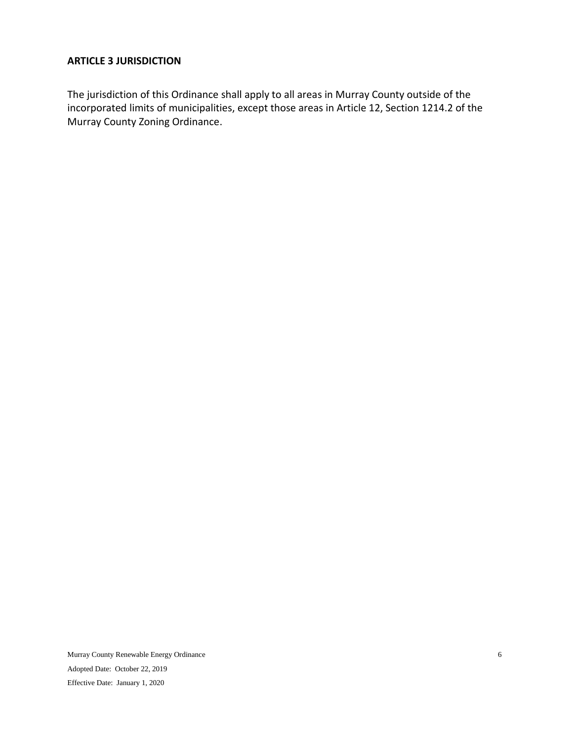## <span id="page-5-0"></span>**ARTICLE 3 JURISDICTION**

The jurisdiction of this Ordinance shall apply to all areas in Murray County outside of the incorporated limits of municipalities, except those areas in Article 12, Section 1214.2 of the Murray County Zoning Ordinance.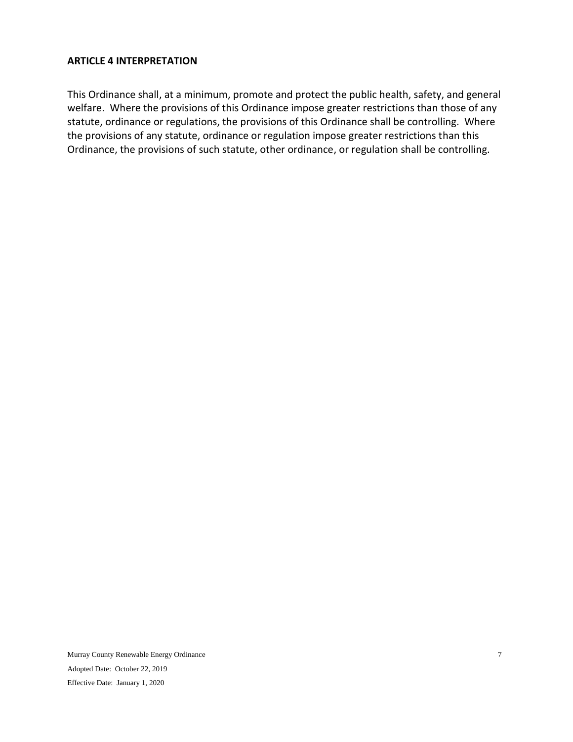#### <span id="page-6-0"></span>**ARTICLE 4 INTERPRETATION**

This Ordinance shall, at a minimum, promote and protect the public health, safety, and general welfare. Where the provisions of this Ordinance impose greater restrictions than those of any statute, ordinance or regulations, the provisions of this Ordinance shall be controlling. Where the provisions of any statute, ordinance or regulation impose greater restrictions than this Ordinance, the provisions of such statute, other ordinance, or regulation shall be controlling.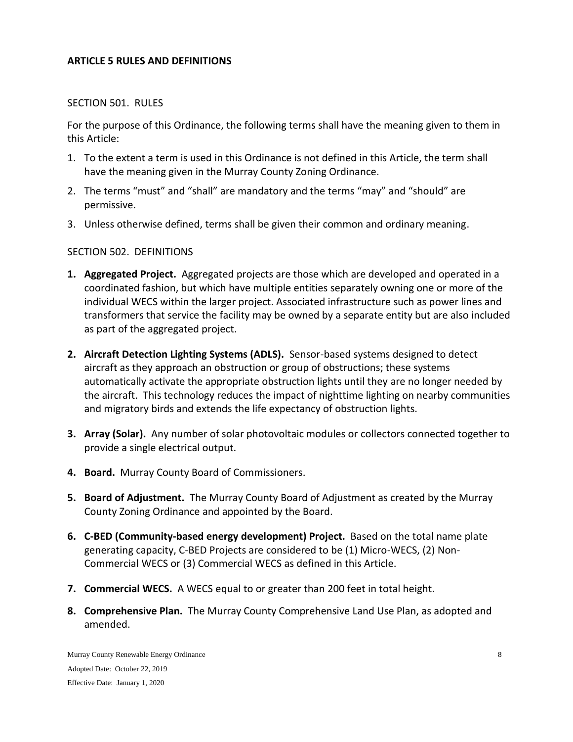#### <span id="page-7-0"></span>**ARTICLE 5 RULES AND DEFINITIONS**

#### <span id="page-7-1"></span>SECTION 501. RULES

For the purpose of this Ordinance, the following terms shall have the meaning given to them in this Article:

- 1. To the extent a term is used in this Ordinance is not defined in this Article, the term shall have the meaning given in the Murray County Zoning Ordinance.
- 2. The terms "must" and "shall" are mandatory and the terms "may" and "should" are permissive.
- 3. Unless otherwise defined, terms shall be given their common and ordinary meaning.

#### <span id="page-7-2"></span>SECTION 502. DEFINITIONS

- **1. Aggregated Project.** Aggregated projects are those which are developed and operated in a coordinated fashion, but which have multiple entities separately owning one or more of the individual WECS within the larger project. Associated infrastructure such as power lines and transformers that service the facility may be owned by a separate entity but are also included as part of the aggregated project.
- **2. Aircraft Detection Lighting Systems (ADLS).** Sensor-based systems designed to detect aircraft as they approach an obstruction or group of obstructions; these systems automatically activate the appropriate obstruction lights until they are no longer needed by the aircraft. This technology reduces the impact of nighttime lighting on nearby communities and migratory birds and extends the life expectancy of obstruction lights.
- **3. Array (Solar).** Any number of solar photovoltaic modules or collectors connected together to provide a single electrical output.
- **4. Board.** Murray County Board of Commissioners.
- **5. Board of Adjustment.** The Murray County Board of Adjustment as created by the Murray County Zoning Ordinance and appointed by the Board.
- **6. C-BED (Community-based energy development) Project.** Based on the total name plate generating capacity, C-BED Projects are considered to be (1) Micro-WECS, (2) Non-Commercial WECS or (3) Commercial WECS as defined in this Article.
- **7. Commercial WECS.** A WECS equal to or greater than 200 feet in total height.
- **8. Comprehensive Plan.** The Murray County Comprehensive Land Use Plan, as adopted and amended.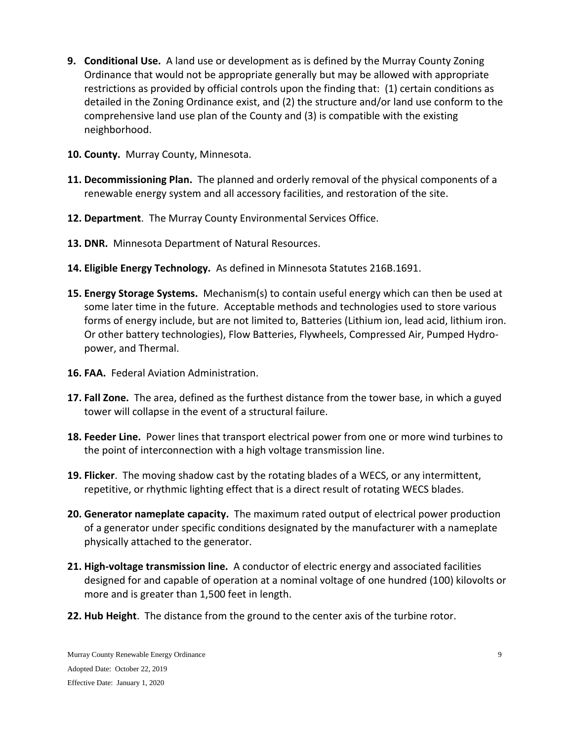- **9. Conditional Use.** A land use or development as is defined by the Murray County Zoning Ordinance that would not be appropriate generally but may be allowed with appropriate restrictions as provided by official controls upon the finding that: (1) certain conditions as detailed in the Zoning Ordinance exist, and (2) the structure and/or land use conform to the comprehensive land use plan of the County and (3) is compatible with the existing neighborhood.
- **10. County.** Murray County, Minnesota.
- **11. Decommissioning Plan.** The planned and orderly removal of the physical components of a renewable energy system and all accessory facilities, and restoration of the site.
- **12. Department**. The Murray County Environmental Services Office.
- **13. DNR.** Minnesota Department of Natural Resources.
- **14. Eligible Energy Technology.** As defined in Minnesota Statutes 216B.1691.
- **15. Energy Storage Systems.** Mechanism(s) to contain useful energy which can then be used at some later time in the future. Acceptable methods and technologies used to store various forms of energy include, but are not limited to, Batteries (Lithium ion, lead acid, lithium iron. Or other battery technologies), Flow Batteries, Flywheels, Compressed Air, Pumped Hydropower, and Thermal.
- **16. FAA.** Federal Aviation Administration.
- **17. Fall Zone.** The area, defined as the furthest distance from the tower base, in which a guyed tower will collapse in the event of a structural failure.
- **18. Feeder Line.** Power lines that transport electrical power from one or more wind turbines to the point of interconnection with a high voltage transmission line.
- **19. Flicker**. The moving shadow cast by the rotating blades of a WECS, or any intermittent, repetitive, or rhythmic lighting effect that is a direct result of rotating WECS blades.
- **20. Generator nameplate capacity.** The maximum rated output of electrical power production of a generator under specific conditions designated by the manufacturer with a nameplate physically attached to the generator.
- **21. High-voltage transmission line.** A conductor of electric energy and associated facilities designed for and capable of operation at a nominal voltage of one hundred (100) kilovolts or more and is greater than 1,500 feet in length.
- **22. Hub Height**. The distance from the ground to the center axis of the turbine rotor.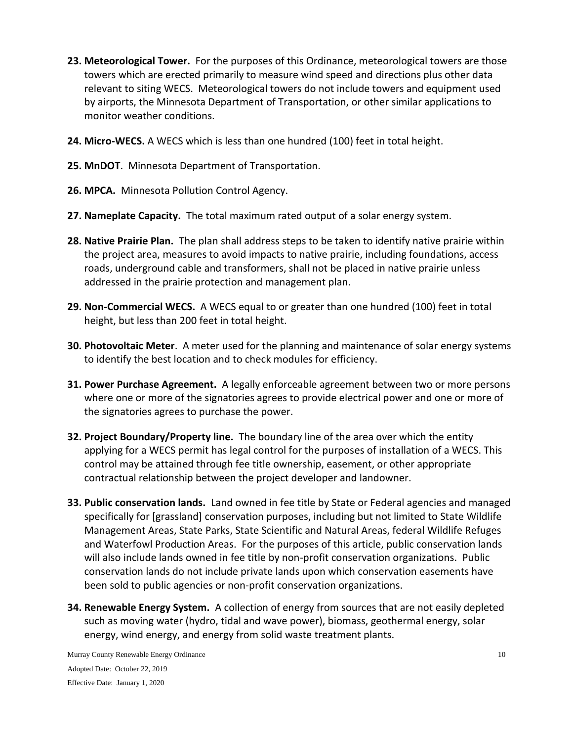- **23. Meteorological Tower.** For the purposes of this Ordinance, meteorological towers are those towers which are erected primarily to measure wind speed and directions plus other data relevant to siting WECS. Meteorological towers do not include towers and equipment used by airports, the Minnesota Department of Transportation, or other similar applications to monitor weather conditions.
- **24. Micro-WECS.** A WECS which is less than one hundred (100) feet in total height.
- **25. MnDOT**. Minnesota Department of Transportation.
- **26. MPCA.** Minnesota Pollution Control Agency.
- **27. Nameplate Capacity.** The total maximum rated output of a solar energy system.
- **28. Native Prairie Plan.** The plan shall address steps to be taken to identify native prairie within the project area, measures to avoid impacts to native prairie, including foundations, access roads, underground cable and transformers, shall not be placed in native prairie unless addressed in the prairie protection and management plan.
- **29. Non-Commercial WECS.** A WECS equal to or greater than one hundred (100) feet in total height, but less than 200 feet in total height.
- **30. Photovoltaic Meter**. A meter used for the planning and maintenance of solar energy systems to identify the best location and to check modules for efficiency.
- **31. Power Purchase Agreement.** A legally enforceable agreement between two or more persons where one or more of the signatories agrees to provide electrical power and one or more of the signatories agrees to purchase the power.
- **32. Project Boundary/Property line.** The boundary line of the area over which the entity applying for a WECS permit has legal control for the purposes of installation of a WECS. This control may be attained through fee title ownership, easement, or other appropriate contractual relationship between the project developer and landowner.
- **33. Public conservation lands.** Land owned in fee title by State or Federal agencies and managed specifically for [grassland] conservation purposes, including but not limited to State Wildlife Management Areas, State Parks, State Scientific and Natural Areas, federal Wildlife Refuges and Waterfowl Production Areas. For the purposes of this article, public conservation lands will also include lands owned in fee title by non-profit conservation organizations. Public conservation lands do not include private lands upon which conservation easements have been sold to public agencies or non-profit conservation organizations.
- **34. Renewable Energy System.** A collection of energy from sources that are not easily depleted such as moving water (hydro, tidal and wave power), biomass, geothermal energy, solar energy, wind energy, and energy from solid waste treatment plants.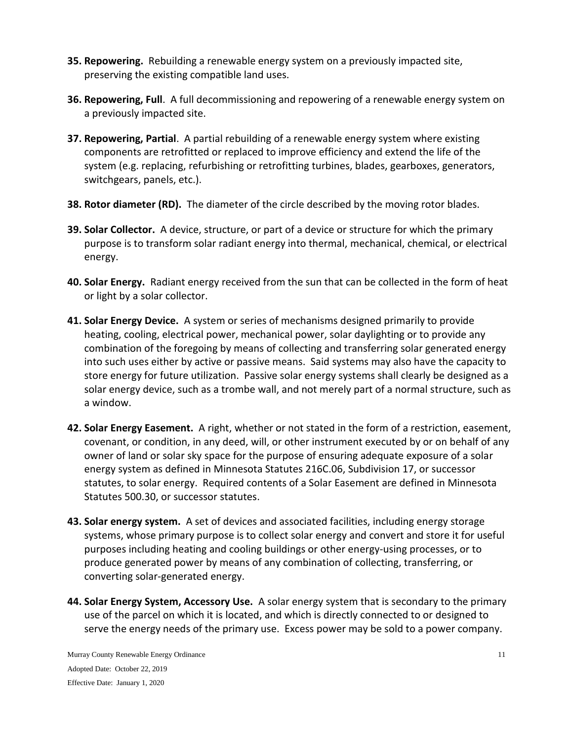- **35. Repowering.** Rebuilding a renewable energy system on a previously impacted site, preserving the existing compatible land uses.
- **36. Repowering, Full**. A full decommissioning and repowering of a renewable energy system on a previously impacted site.
- **37. Repowering, Partial**. A partial rebuilding of a renewable energy system where existing components are retrofitted or replaced to improve efficiency and extend the life of the system (e.g. replacing, refurbishing or retrofitting turbines, blades, gearboxes, generators, switchgears, panels, etc.).
- **38. Rotor diameter (RD).** The diameter of the circle described by the moving rotor blades.
- **39. Solar Collector.** A device, structure, or part of a device or structure for which the primary purpose is to transform solar radiant energy into thermal, mechanical, chemical, or electrical energy.
- **40. Solar Energy.** Radiant energy received from the sun that can be collected in the form of heat or light by a solar collector.
- **41. Solar Energy Device.** A system or series of mechanisms designed primarily to provide heating, cooling, electrical power, mechanical power, solar daylighting or to provide any combination of the foregoing by means of collecting and transferring solar generated energy into such uses either by active or passive means. Said systems may also have the capacity to store energy for future utilization. Passive solar energy systems shall clearly be designed as a solar energy device, such as a trombe wall, and not merely part of a normal structure, such as a window.
- **42. Solar Energy Easement.** A right, whether or not stated in the form of a restriction, easement, covenant, or condition, in any deed, will, or other instrument executed by or on behalf of any owner of land or solar sky space for the purpose of ensuring adequate exposure of a solar energy system as defined in Minnesota Statutes 216C.06, Subdivision 17, or successor statutes, to solar energy. Required contents of a Solar Easement are defined in Minnesota Statutes 500.30, or successor statutes.
- **43. Solar energy system.** A set of devices and associated facilities, including energy storage systems, whose primary purpose is to collect solar energy and convert and store it for useful purposes including heating and cooling buildings or other energy-using processes, or to produce generated power by means of any combination of collecting, transferring, or converting solar-generated energy.
- **44. Solar Energy System, Accessory Use.** A solar energy system that is secondary to the primary use of the parcel on which it is located, and which is directly connected to or designed to serve the energy needs of the primary use. Excess power may be sold to a power company.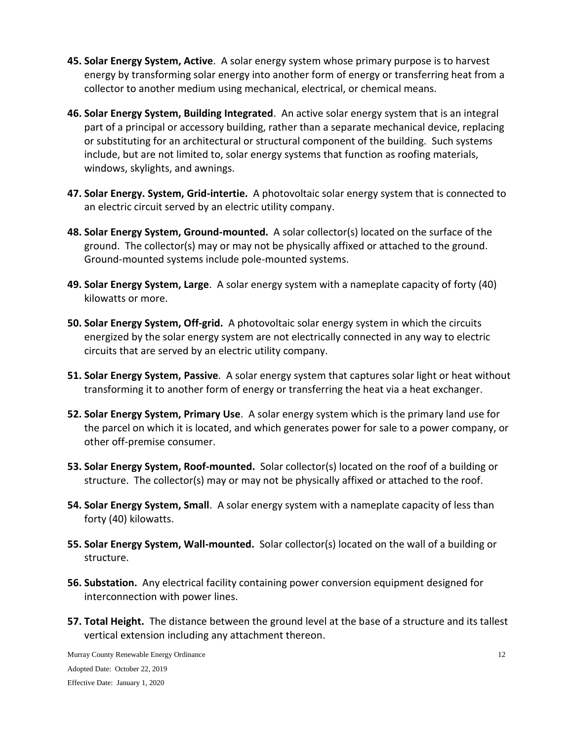- **45. Solar Energy System, Active**. A solar energy system whose primary purpose is to harvest energy by transforming solar energy into another form of energy or transferring heat from a collector to another medium using mechanical, electrical, or chemical means.
- **46. Solar Energy System, Building Integrated**. An active solar energy system that is an integral part of a principal or accessory building, rather than a separate mechanical device, replacing or substituting for an architectural or structural component of the building. Such systems include, but are not limited to, solar energy systems that function as roofing materials, windows, skylights, and awnings.
- **47. Solar Energy. System, Grid-intertie.** A photovoltaic solar energy system that is connected to an electric circuit served by an electric utility company.
- **48. Solar Energy System, Ground-mounted.** A solar collector(s) located on the surface of the ground. The collector(s) may or may not be physically affixed or attached to the ground. Ground-mounted systems include pole-mounted systems.
- **49. Solar Energy System, Large**. A solar energy system with a nameplate capacity of forty (40) kilowatts or more.
- **50. Solar Energy System, Off-grid.** A photovoltaic solar energy system in which the circuits energized by the solar energy system are not electrically connected in any way to electric circuits that are served by an electric utility company.
- **51. Solar Energy System, Passive**. A solar energy system that captures solar light or heat without transforming it to another form of energy or transferring the heat via a heat exchanger.
- **52. Solar Energy System, Primary Use**. A solar energy system which is the primary land use for the parcel on which it is located, and which generates power for sale to a power company, or other off-premise consumer.
- **53. Solar Energy System, Roof-mounted.** Solar collector(s) located on the roof of a building or structure. The collector(s) may or may not be physically affixed or attached to the roof.
- **54. Solar Energy System, Small**. A solar energy system with a nameplate capacity of less than forty (40) kilowatts.
- **55. Solar Energy System, Wall-mounted.** Solar collector(s) located on the wall of a building or structure.
- **56. Substation.** Any electrical facility containing power conversion equipment designed for interconnection with power lines.
- **57. Total Height.** The distance between the ground level at the base of a structure and its tallest vertical extension including any attachment thereon.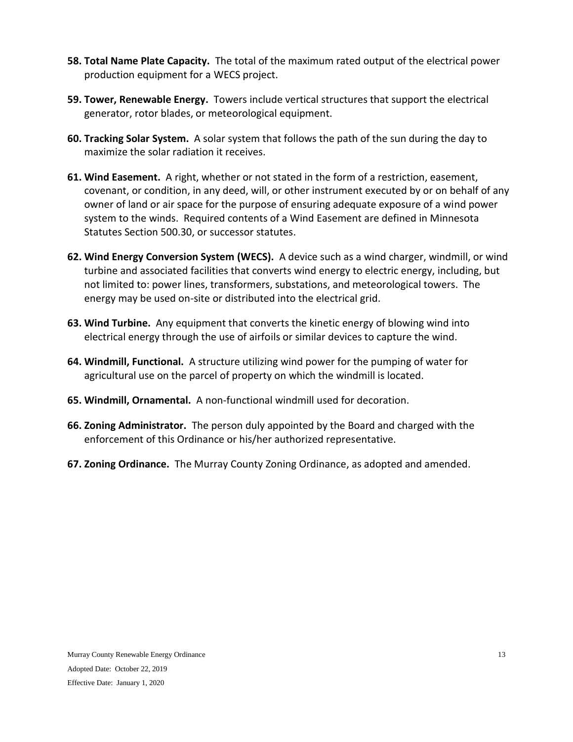- **58. Total Name Plate Capacity.** The total of the maximum rated output of the electrical power production equipment for a WECS project.
- **59. Tower, Renewable Energy.** Towers include vertical structures that support the electrical generator, rotor blades, or meteorological equipment.
- **60. Tracking Solar System.** A solar system that follows the path of the sun during the day to maximize the solar radiation it receives.
- **61. Wind Easement.** A right, whether or not stated in the form of a restriction, easement, covenant, or condition, in any deed, will, or other instrument executed by or on behalf of any owner of land or air space for the purpose of ensuring adequate exposure of a wind power system to the winds. Required contents of a Wind Easement are defined in Minnesota Statutes Section 500.30, or successor statutes.
- **62. Wind Energy Conversion System (WECS).** A device such as a wind charger, windmill, or wind turbine and associated facilities that converts wind energy to electric energy, including, but not limited to: power lines, transformers, substations, and meteorological towers. The energy may be used on-site or distributed into the electrical grid.
- **63. Wind Turbine.** Any equipment that converts the kinetic energy of blowing wind into electrical energy through the use of airfoils or similar devices to capture the wind.
- **64. Windmill, Functional.** A structure utilizing wind power for the pumping of water for agricultural use on the parcel of property on which the windmill is located.
- **65. Windmill, Ornamental.** A non-functional windmill used for decoration.
- **66. Zoning Administrator.** The person duly appointed by the Board and charged with the enforcement of this Ordinance or his/her authorized representative.
- **67. Zoning Ordinance.** The Murray County Zoning Ordinance, as adopted and amended.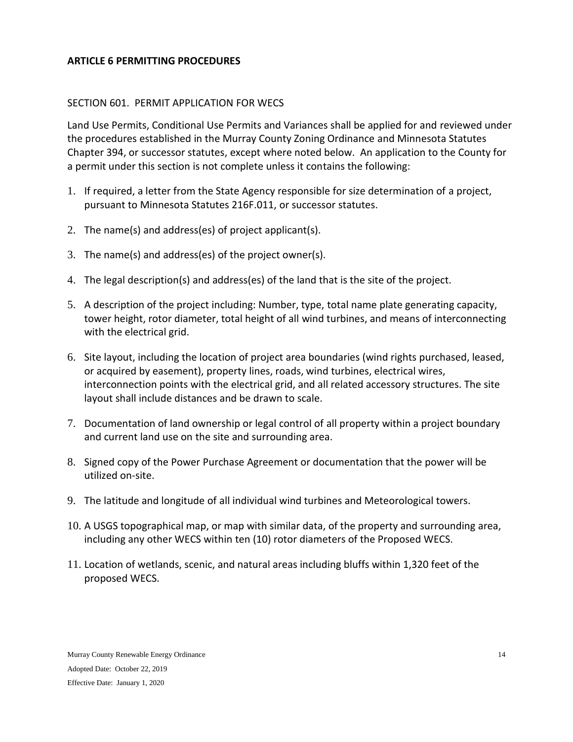## <span id="page-13-0"></span>**ARTICLE 6 PERMITTING PROCEDURES**

#### <span id="page-13-1"></span>SECTION 601. PERMIT APPLICATION FOR WECS

Land Use Permits, Conditional Use Permits and Variances shall be applied for and reviewed under the procedures established in the Murray County Zoning Ordinance and Minnesota Statutes Chapter 394, or successor statutes, except where noted below. An application to the County for a permit under this section is not complete unless it contains the following:

- 1. If required, a letter from the State Agency responsible for size determination of a project, pursuant to Minnesota Statutes 216F.011, or successor statutes.
- 2. The name(s) and address(es) of project applicant(s).
- 3. The name(s) and address(es) of the project owner(s).
- 4. The legal description(s) and address(es) of the land that is the site of the project.
- 5. A description of the project including: Number, type, total name plate generating capacity, tower height, rotor diameter, total height of all wind turbines, and means of interconnecting with the electrical grid.
- 6. Site layout, including the location of project area boundaries (wind rights purchased, leased, or acquired by easement), property lines, roads, wind turbines, electrical wires, interconnection points with the electrical grid, and all related accessory structures. The site layout shall include distances and be drawn to scale.
- 7. Documentation of land ownership or legal control of all property within a project boundary and current land use on the site and surrounding area.
- 8. Signed copy of the Power Purchase Agreement or documentation that the power will be utilized on-site.
- 9. The latitude and longitude of all individual wind turbines and Meteorological towers.
- 10. A USGS topographical map, or map with similar data, of the property and surrounding area, including any other WECS within ten (10) rotor diameters of the Proposed WECS.
- 11. Location of wetlands, scenic, and natural areas including bluffs within 1,320 feet of the proposed WECS.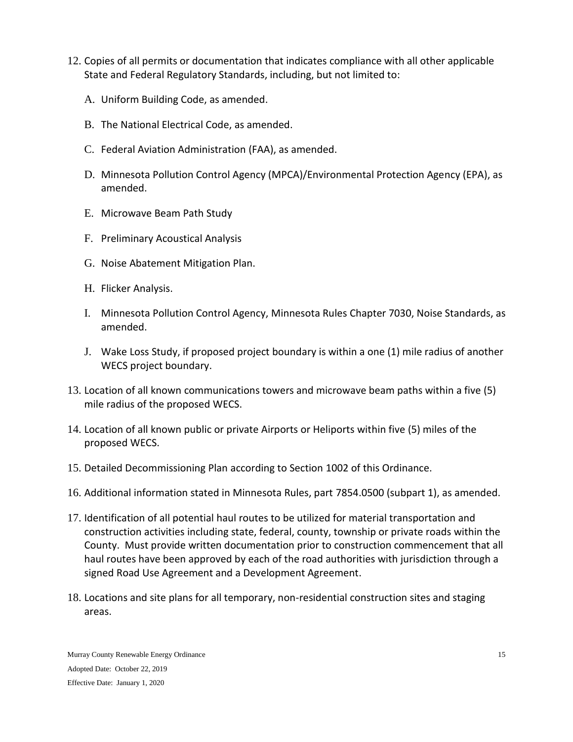- 12. Copies of all permits or documentation that indicates compliance with all other applicable State and Federal Regulatory Standards, including, but not limited to:
	- A. Uniform Building Code, as amended.
	- B. The National Electrical Code, as amended.
	- C. Federal Aviation Administration (FAA), as amended.
	- D. Minnesota Pollution Control Agency (MPCA)/Environmental Protection Agency (EPA), as amended.
	- E. Microwave Beam Path Study
	- F. Preliminary Acoustical Analysis
	- G. Noise Abatement Mitigation Plan.
	- H. Flicker Analysis.
	- I. Minnesota Pollution Control Agency, Minnesota Rules Chapter 7030, Noise Standards, as amended.
	- J. Wake Loss Study, if proposed project boundary is within a one (1) mile radius of another WECS project boundary.
- 13. Location of all known communications towers and microwave beam paths within a five (5) mile radius of the proposed WECS.
- 14. Location of all known public or private Airports or Heliports within five (5) miles of the proposed WECS.
- 15. Detailed Decommissioning Plan according to Section 1002 of this Ordinance.
- 16. Additional information stated in Minnesota Rules, part 7854.0500 (subpart 1), as amended.
- 17. Identification of all potential haul routes to be utilized for material transportation and construction activities including state, federal, county, township or private roads within the County. Must provide written documentation prior to construction commencement that all haul routes have been approved by each of the road authorities with jurisdiction through a signed Road Use Agreement and a Development Agreement.
- 18. Locations and site plans for all temporary, non-residential construction sites and staging areas.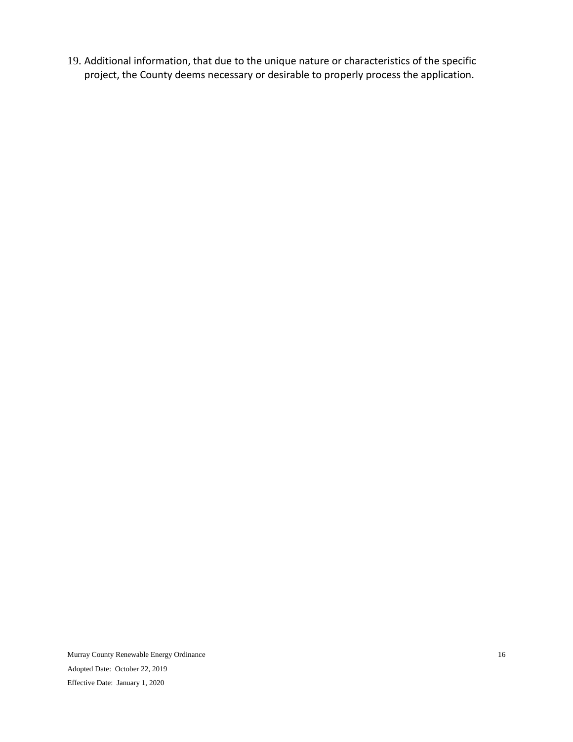19. Additional information, that due to the unique nature or characteristics of the specific project, the County deems necessary or desirable to properly process the application.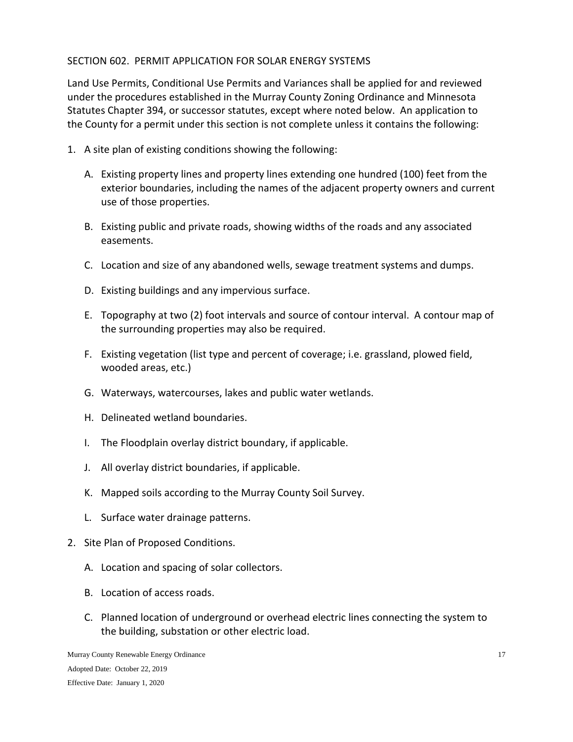# <span id="page-16-0"></span>SECTION 602. PERMIT APPLICATION FOR SOLAR ENERGY SYSTEMS

Land Use Permits, Conditional Use Permits and Variances shall be applied for and reviewed under the procedures established in the Murray County Zoning Ordinance and Minnesota Statutes Chapter 394, or successor statutes, except where noted below. An application to the County for a permit under this section is not complete unless it contains the following:

- 1. A site plan of existing conditions showing the following:
	- A. Existing property lines and property lines extending one hundred (100) feet from the exterior boundaries, including the names of the adjacent property owners and current use of those properties.
	- B. Existing public and private roads, showing widths of the roads and any associated easements.
	- C. Location and size of any abandoned wells, sewage treatment systems and dumps.
	- D. Existing buildings and any impervious surface.
	- E. Topography at two (2) foot intervals and source of contour interval. A contour map of the surrounding properties may also be required.
	- F. Existing vegetation (list type and percent of coverage; i.e. grassland, plowed field, wooded areas, etc.)
	- G. Waterways, watercourses, lakes and public water wetlands.
	- H. Delineated wetland boundaries.
	- I. The Floodplain overlay district boundary, if applicable.
	- J. All overlay district boundaries, if applicable.
	- K. Mapped soils according to the Murray County Soil Survey.
	- L. Surface water drainage patterns.
- 2. Site Plan of Proposed Conditions.
	- A. Location and spacing of solar collectors.
	- B. Location of access roads.
	- C. Planned location of underground or overhead electric lines connecting the system to the building, substation or other electric load.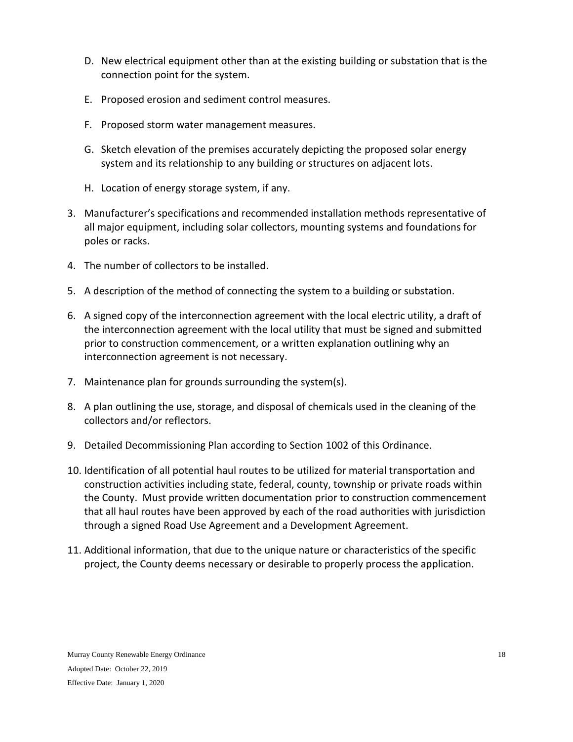- D. New electrical equipment other than at the existing building or substation that is the connection point for the system.
- E. Proposed erosion and sediment control measures.
- F. Proposed storm water management measures.
- G. Sketch elevation of the premises accurately depicting the proposed solar energy system and its relationship to any building or structures on adjacent lots.
- H. Location of energy storage system, if any.
- 3. Manufacturer's specifications and recommended installation methods representative of all major equipment, including solar collectors, mounting systems and foundations for poles or racks.
- 4. The number of collectors to be installed.
- 5. A description of the method of connecting the system to a building or substation.
- 6. A signed copy of the interconnection agreement with the local electric utility, a draft of the interconnection agreement with the local utility that must be signed and submitted prior to construction commencement, or a written explanation outlining why an interconnection agreement is not necessary.
- 7. Maintenance plan for grounds surrounding the system(s).
- 8. A plan outlining the use, storage, and disposal of chemicals used in the cleaning of the collectors and/or reflectors.
- 9. Detailed Decommissioning Plan according to Section 1002 of this Ordinance.
- 10. Identification of all potential haul routes to be utilized for material transportation and construction activities including state, federal, county, township or private roads within the County. Must provide written documentation prior to construction commencement that all haul routes have been approved by each of the road authorities with jurisdiction through a signed Road Use Agreement and a Development Agreement.
- 11. Additional information, that due to the unique nature or characteristics of the specific project, the County deems necessary or desirable to properly process the application.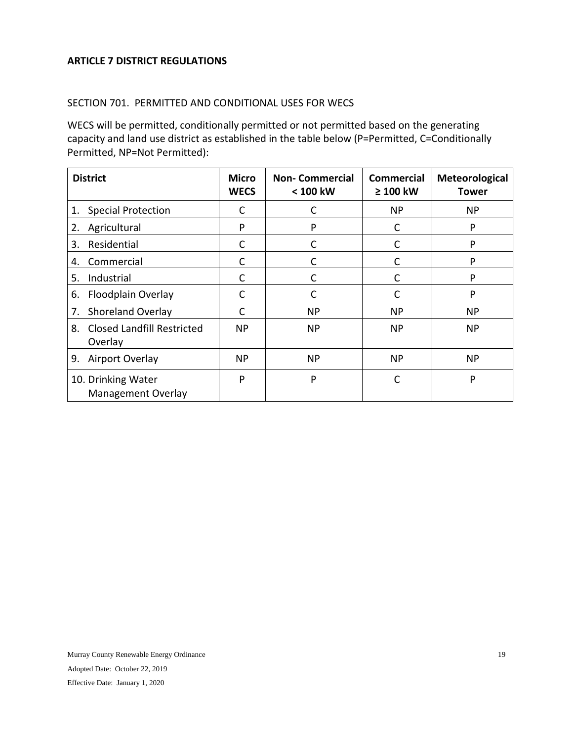#### <span id="page-18-0"></span>**ARTICLE 7 DISTRICT REGULATIONS**

#### <span id="page-18-1"></span>SECTION 701. PERMITTED AND CONDITIONAL USES FOR WECS

WECS will be permitted, conditionally permitted or not permitted based on the generating capacity and land use district as established in the table below (P=Permitted, C=Conditionally Permitted, NP=Not Permitted):

| <b>District</b>                                    | <b>Micro</b><br><b>WECS</b> | <b>Non-Commercial</b><br>< 100 kW | <b>Commercial</b><br>$\geq 100$ kW | <b>Meteorological</b><br><b>Tower</b> |
|----------------------------------------------------|-----------------------------|-----------------------------------|------------------------------------|---------------------------------------|
| <b>Special Protection</b><br>1.                    | C                           | C                                 | NP                                 | <b>NP</b>                             |
| Agricultural<br>2.                                 | P                           | P                                 | С                                  | P                                     |
| Residential<br>3.                                  | $\mathsf{C}$                | С                                 | С                                  | P                                     |
| Commercial<br>4.                                   | C                           | C                                 | C                                  | P                                     |
| Industrial<br>5.                                   | C                           |                                   |                                    | P                                     |
| Floodplain Overlay<br>6.                           | C                           | C                                 | C                                  | P                                     |
| Shoreland Overlay<br>7.                            | C                           | NP.                               | <b>NP</b>                          | <b>NP</b>                             |
| <b>Closed Landfill Restricted</b><br>8.<br>Overlay | ΝP                          | <b>NP</b>                         | NP                                 | <b>NP</b>                             |
| Airport Overlay<br>9.                              | <b>NP</b>                   | NP                                | <b>NP</b>                          | <b>NP</b>                             |
| 10. Drinking Water<br><b>Management Overlay</b>    | P                           | P                                 | C                                  | P                                     |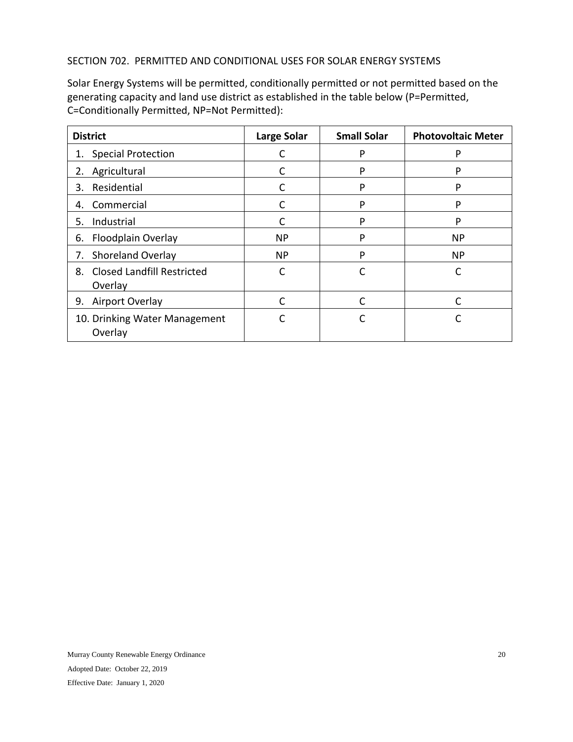## <span id="page-19-0"></span>SECTION 702. PERMITTED AND CONDITIONAL USES FOR SOLAR ENERGY SYSTEMS

Solar Energy Systems will be permitted, conditionally permitted or not permitted based on the generating capacity and land use district as established in the table below (P=Permitted, C=Conditionally Permitted, NP=Not Permitted):

| <b>District</b>                                    | Large Solar | <b>Small Solar</b> | <b>Photovoltaic Meter</b> |
|----------------------------------------------------|-------------|--------------------|---------------------------|
| <b>Special Protection</b><br>1.                    |             | P                  | P                         |
| Agricultural<br>2.                                 |             | P                  | P                         |
| Residential<br>3.                                  | C           | P                  |                           |
| Commercial<br>4.                                   | C           | P                  | P                         |
| Industrial<br>5.                                   | C           | P                  | P                         |
| Floodplain Overlay<br>6.                           | <b>NP</b>   | P                  | <b>NP</b>                 |
| <b>Shoreland Overlay</b><br>7.                     | <b>NP</b>   | P                  | <b>NP</b>                 |
| <b>Closed Landfill Restricted</b><br>8.<br>Overlay | C           | C                  | C                         |
| Airport Overlay<br>9.                              | C           |                    |                           |
| 10. Drinking Water Management<br>Overlay           | r           |                    |                           |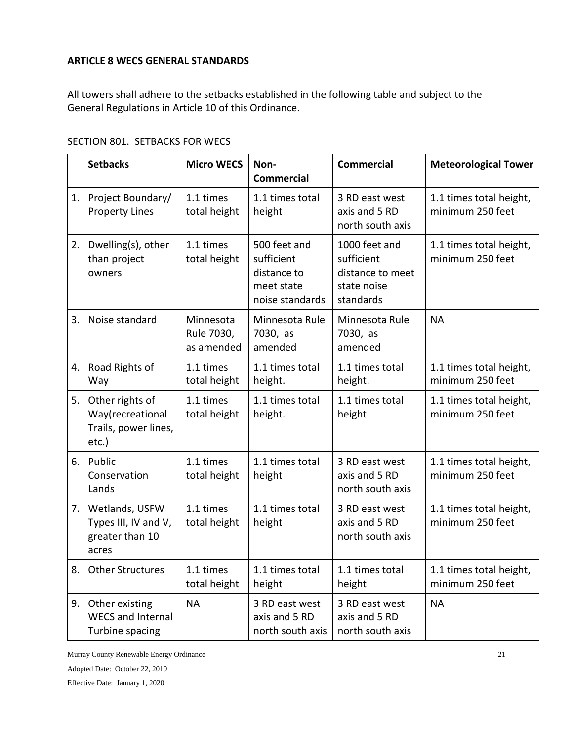# <span id="page-20-0"></span>**ARTICLE 8 WECS GENERAL STANDARDS**

All towers shall adhere to the setbacks established in the following table and subject to the General Regulations in Article 10 of this Ordinance.

# <span id="page-20-1"></span>SECTION 801. SETBACKS FOR WECS

|    | <b>Setbacks</b>                                                         | <b>Micro WECS</b>                     | Non-<br><b>Commercial</b>                                                  | <b>Commercial</b>                                                           | <b>Meteorological Tower</b>                 |
|----|-------------------------------------------------------------------------|---------------------------------------|----------------------------------------------------------------------------|-----------------------------------------------------------------------------|---------------------------------------------|
|    | 1. Project Boundary/<br><b>Property Lines</b>                           | 1.1 times<br>total height             | 1.1 times total<br>height                                                  | 3 RD east west<br>axis and 5 RD<br>north south axis                         | 1.1 times total height,<br>minimum 250 feet |
| 2. | Dwelling(s), other<br>than project<br>owners                            | 1.1 times<br>total height             | 500 feet and<br>sufficient<br>distance to<br>meet state<br>noise standards | 1000 feet and<br>sufficient<br>distance to meet<br>state noise<br>standards | 1.1 times total height,<br>minimum 250 feet |
|    | 3. Noise standard                                                       | Minnesota<br>Rule 7030,<br>as amended | Minnesota Rule<br>7030, as<br>amended                                      | Minnesota Rule<br>7030, as<br>amended                                       | <b>NA</b>                                   |
|    | 4. Road Rights of<br>Way                                                | 1.1 times<br>total height             | 1.1 times total<br>height.                                                 | 1.1 times total<br>height.                                                  | 1.1 times total height,<br>minimum 250 feet |
|    | 5. Other rights of<br>Way(recreational<br>Trails, power lines,<br>etc.) | 1.1 times<br>total height             | 1.1 times total<br>height.                                                 | 1.1 times total<br>height.                                                  | 1.1 times total height,<br>minimum 250 feet |
|    | 6. Public<br>Conservation<br>Lands                                      | 1.1 times<br>total height             | 1.1 times total<br>height                                                  | 3 RD east west<br>axis and 5 RD<br>north south axis                         | 1.1 times total height,<br>minimum 250 feet |
|    | 7. Wetlands, USFW<br>Types III, IV and V,<br>greater than 10<br>acres   | 1.1 times<br>total height             | 1.1 times total<br>height                                                  | 3 RD east west<br>axis and 5 RD<br>north south axis                         | 1.1 times total height,<br>minimum 250 feet |
|    | 8. Other Structures                                                     | 1.1 times<br>total height             | 1.1 times total<br>height                                                  | 1.1 times total<br>height                                                   | 1.1 times total height,<br>minimum 250 feet |
|    | 9. Other existing<br><b>WECS and Internal</b><br>Turbine spacing        | <b>NA</b>                             | 3 RD east west<br>axis and 5 RD<br>north south axis                        | 3 RD east west<br>axis and 5 RD<br>north south axis                         | <b>NA</b>                                   |

Murray County Renewable Energy Ordinance Adopted Date: October 22, 2019 Effective Date: January 1, 2020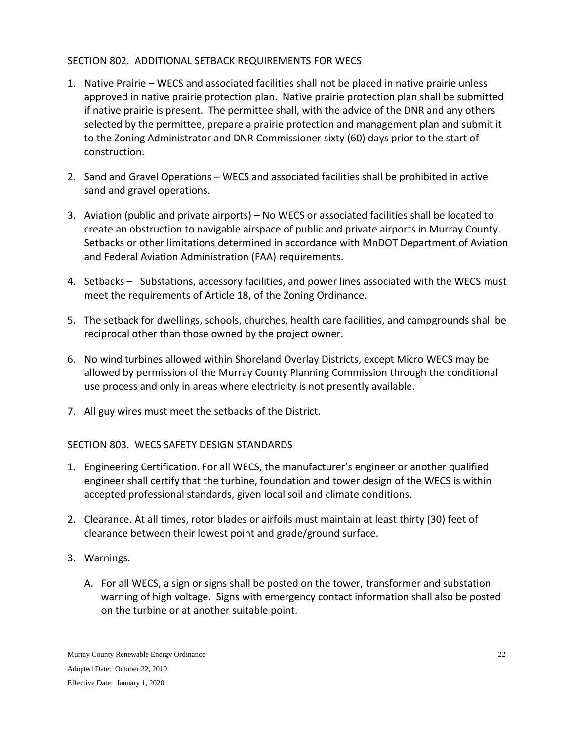# <span id="page-21-0"></span>SECTION 802. ADDITIONAL SETBACK REQUIREMENTS FOR WECS

- 1. Native Prairie WECS and associated facilities shall not be placed in native prairie unless approved in native prairie protection plan. Native prairie protection plan shall be submitted if native prairie is present. The permittee shall, with the advice of the DNR and any others selected by the permittee, prepare a prairie protection and management plan and submit it to the Zoning Administrator and DNR Commissioner sixty (60) days prior to the start of construction.
- 2. Sand and Gravel Operations WECS and associated facilities shall be prohibited in active sand and gravel operations.
- 3. Aviation (public and private airports) No WECS or associated facilities shall be located to create an obstruction to navigable airspace of public and private airports in Murray County. Setbacks or other limitations determined in accordance with MnDOT Department of Aviation and Federal Aviation Administration (FAA) requirements.
- 4. Setbacks Substations, accessory facilities, and power lines associated with the WECS must meet the requirements of Article 18, of the Zoning Ordinance.
- 5. The setback for dwellings, schools, churches, health care facilities, and campgrounds shall be reciprocal other than those owned by the project owner.
- 6. No wind turbines allowed within Shoreland Overlay Districts, except Micro WECS may be allowed by permission of the Murray County Planning Commission through the conditional use process and only in areas where electricity is not presently available.
- 7. All guy wires must meet the setbacks of the District.

# <span id="page-21-1"></span>SECTION 803. WECS SAFETY DESIGN STANDARDS

- 1. Engineering Certification. For all WECS, the manufacturer's engineer or another qualified engineer shall certify that the turbine, foundation and tower design of the WECS is within accepted professional standards, given local soil and climate conditions.
- 2. Clearance. At all times, rotor blades or airfoils must maintain at least thirty (30) feet of clearance between their lowest point and grade/ground surface.
- 3. Warnings.
	- A. For all WECS, a sign or signs shall be posted on the tower, transformer and substation warning of high voltage. Signs with emergency contact information shall also be posted on the turbine or at another suitable point.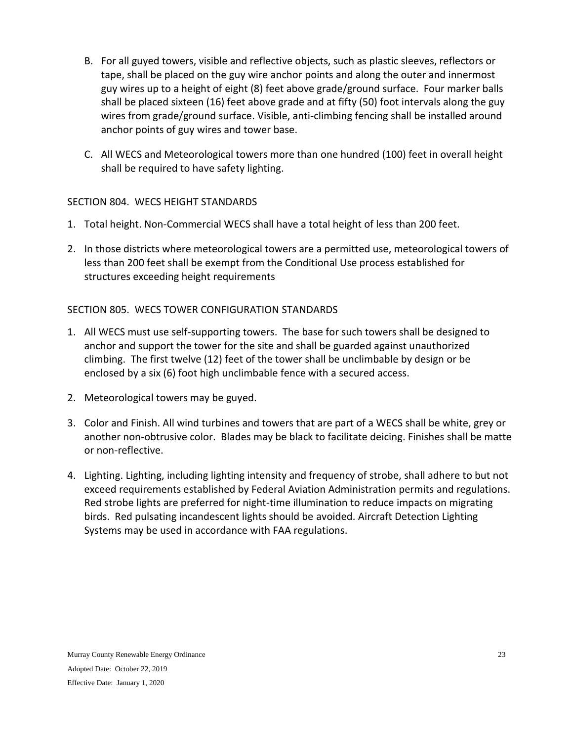- B. For all guyed towers, visible and reflective objects, such as plastic sleeves, reflectors or tape, shall be placed on the guy wire anchor points and along the outer and innermost guy wires up to a height of eight (8) feet above grade/ground surface. Four marker balls shall be placed sixteen (16) feet above grade and at fifty (50) foot intervals along the guy wires from grade/ground surface. Visible, anti-climbing fencing shall be installed around anchor points of guy wires and tower base.
- C. All WECS and Meteorological towers more than one hundred (100) feet in overall height shall be required to have safety lighting.

# <span id="page-22-0"></span>SECTION 804. WECS HEIGHT STANDARDS

- 1. Total height. Non-Commercial WECS shall have a total height of less than 200 feet.
- 2. In those districts where meteorological towers are a permitted use, meteorological towers of less than 200 feet shall be exempt from the Conditional Use process established for structures exceeding height requirements

## <span id="page-22-1"></span>SECTION 805. WECS TOWER CONFIGURATION STANDARDS

- 1. All WECS must use self-supporting towers. The base for such towers shall be designed to anchor and support the tower for the site and shall be guarded against unauthorized climbing. The first twelve (12) feet of the tower shall be unclimbable by design or be enclosed by a six (6) foot high unclimbable fence with a secured access.
- 2. Meteorological towers may be guyed.
- 3. Color and Finish. All wind turbines and towers that are part of a WECS shall be white, grey or another non-obtrusive color. Blades may be black to facilitate deicing. Finishes shall be matte or non-reflective.
- 4. Lighting. Lighting, including lighting intensity and frequency of strobe, shall adhere to but not exceed requirements established by Federal Aviation Administration permits and regulations. Red strobe lights are preferred for night-time illumination to reduce impacts on migrating birds. Red pulsating incandescent lights should be avoided. Aircraft Detection Lighting Systems may be used in accordance with FAA regulations.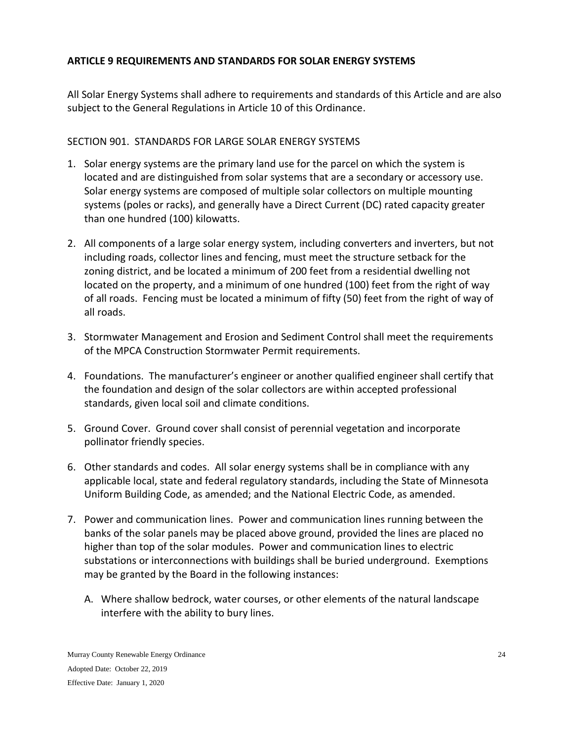# <span id="page-23-0"></span>**ARTICLE 9 REQUIREMENTS AND STANDARDS FOR SOLAR ENERGY SYSTEMS**

All Solar Energy Systems shall adhere to requirements and standards of this Article and are also subject to the General Regulations in Article 10 of this Ordinance.

# <span id="page-23-1"></span>SECTION 901. STANDARDS FOR LARGE SOLAR ENERGY SYSTEMS

- 1. Solar energy systems are the primary land use for the parcel on which the system is located and are distinguished from solar systems that are a secondary or accessory use. Solar energy systems are composed of multiple solar collectors on multiple mounting systems (poles or racks), and generally have a Direct Current (DC) rated capacity greater than one hundred (100) kilowatts.
- 2. All components of a large solar energy system, including converters and inverters, but not including roads, collector lines and fencing, must meet the structure setback for the zoning district, and be located a minimum of 200 feet from a residential dwelling not located on the property, and a minimum of one hundred (100) feet from the right of way of all roads. Fencing must be located a minimum of fifty (50) feet from the right of way of all roads.
- 3. Stormwater Management and Erosion and Sediment Control shall meet the requirements of the MPCA Construction Stormwater Permit requirements.
- 4. Foundations. The manufacturer's engineer or another qualified engineer shall certify that the foundation and design of the solar collectors are within accepted professional standards, given local soil and climate conditions.
- 5. Ground Cover. Ground cover shall consist of perennial vegetation and incorporate pollinator friendly species.
- 6. Other standards and codes. All solar energy systems shall be in compliance with any applicable local, state and federal regulatory standards, including the State of Minnesota Uniform Building Code, as amended; and the National Electric Code, as amended.
- 7. Power and communication lines. Power and communication lines running between the banks of the solar panels may be placed above ground, provided the lines are placed no higher than top of the solar modules. Power and communication lines to electric substations or interconnections with buildings shall be buried underground. Exemptions may be granted by the Board in the following instances:
	- A. Where shallow bedrock, water courses, or other elements of the natural landscape interfere with the ability to bury lines.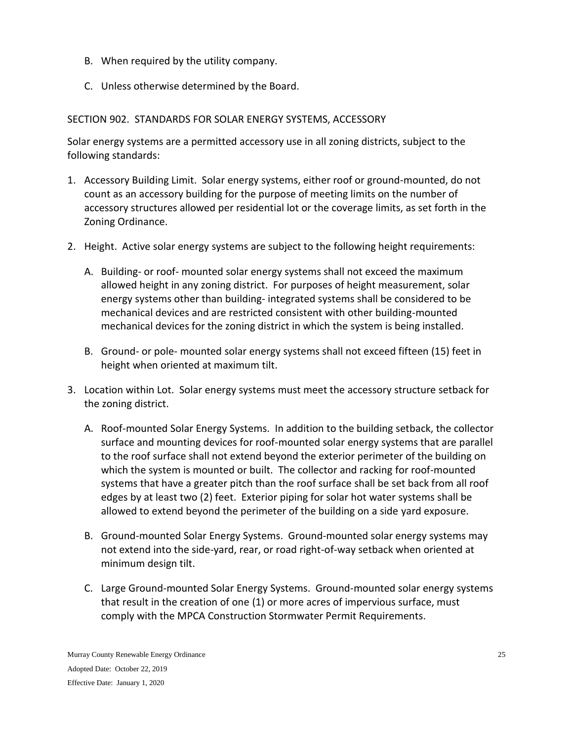- B. When required by the utility company.
- C. Unless otherwise determined by the Board.

## <span id="page-24-0"></span>SECTION 902. STANDARDS FOR SOLAR ENERGY SYSTEMS, ACCESSORY

Solar energy systems are a permitted accessory use in all zoning districts, subject to the following standards:

- 1. Accessory Building Limit. Solar energy systems, either roof or ground-mounted, do not count as an accessory building for the purpose of meeting limits on the number of accessory structures allowed per residential lot or the coverage limits, as set forth in the Zoning Ordinance.
- 2. Height. Active solar energy systems are subject to the following height requirements:
	- A. Building- or roof- mounted solar energy systems shall not exceed the maximum allowed height in any zoning district. For purposes of height measurement, solar energy systems other than building- integrated systems shall be considered to be mechanical devices and are restricted consistent with other building-mounted mechanical devices for the zoning district in which the system is being installed.
	- B. Ground- or pole- mounted solar energy systems shall not exceed fifteen (15) feet in height when oriented at maximum tilt.
- 3. Location within Lot. Solar energy systems must meet the accessory structure setback for the zoning district.
	- A. Roof-mounted Solar Energy Systems. In addition to the building setback, the collector surface and mounting devices for roof-mounted solar energy systems that are parallel to the roof surface shall not extend beyond the exterior perimeter of the building on which the system is mounted or built. The collector and racking for roof-mounted systems that have a greater pitch than the roof surface shall be set back from all roof edges by at least two (2) feet. Exterior piping for solar hot water systems shall be allowed to extend beyond the perimeter of the building on a side yard exposure.
	- B. Ground-mounted Solar Energy Systems. Ground-mounted solar energy systems may not extend into the side-yard, rear, or road right-of-way setback when oriented at minimum design tilt.
	- C. Large Ground-mounted Solar Energy Systems. Ground-mounted solar energy systems that result in the creation of one (1) or more acres of impervious surface, must comply with the MPCA Construction Stormwater Permit Requirements.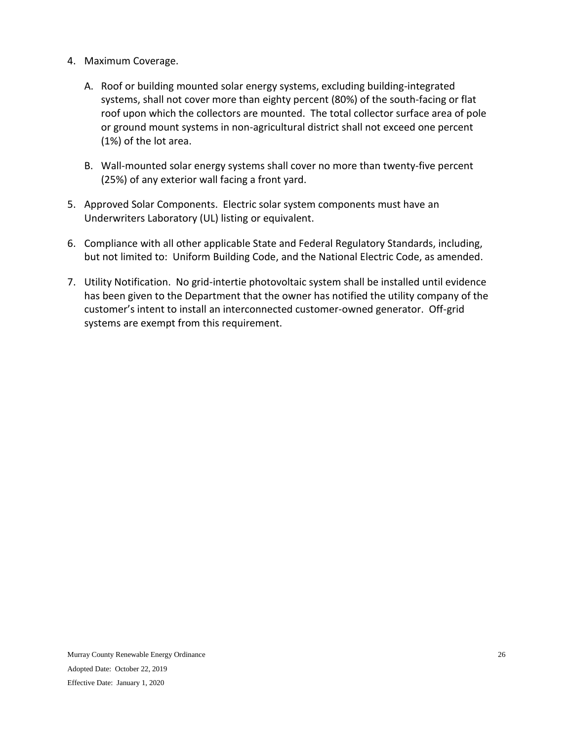- 4. Maximum Coverage.
	- A. Roof or building mounted solar energy systems, excluding building-integrated systems, shall not cover more than eighty percent (80%) of the south-facing or flat roof upon which the collectors are mounted. The total collector surface area of pole or ground mount systems in non-agricultural district shall not exceed one percent (1%) of the lot area.
	- B. Wall-mounted solar energy systems shall cover no more than twenty-five percent (25%) of any exterior wall facing a front yard.
- 5. Approved Solar Components. Electric solar system components must have an Underwriters Laboratory (UL) listing or equivalent.
- 6. Compliance with all other applicable State and Federal Regulatory Standards, including, but not limited to: Uniform Building Code, and the National Electric Code, as amended.
- 7. Utility Notification. No grid-intertie photovoltaic system shall be installed until evidence has been given to the Department that the owner has notified the utility company of the customer's intent to install an interconnected customer-owned generator. Off-grid systems are exempt from this requirement.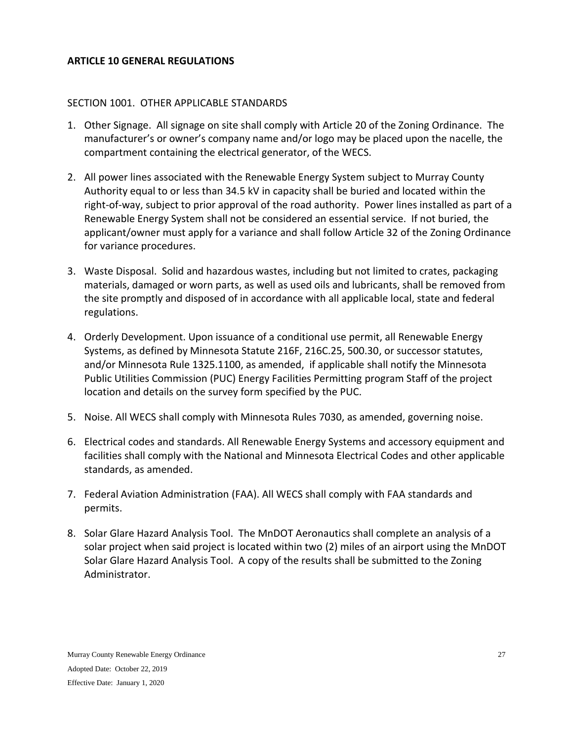#### <span id="page-26-0"></span>**ARTICLE 10 GENERAL REGULATIONS**

#### <span id="page-26-1"></span>SECTION 1001. OTHER APPLICABLE STANDARDS

- 1. Other Signage. All signage on site shall comply with Article 20 of the Zoning Ordinance. The manufacturer's or owner's company name and/or logo may be placed upon the nacelle, the compartment containing the electrical generator, of the WECS.
- 2. All power lines associated with the Renewable Energy System subject to Murray County Authority equal to or less than 34.5 kV in capacity shall be buried and located within the right-of-way, subject to prior approval of the road authority. Power lines installed as part of a Renewable Energy System shall not be considered an essential service. If not buried, the applicant/owner must apply for a variance and shall follow Article 32 of the Zoning Ordinance for variance procedures.
- 3. Waste Disposal. Solid and hazardous wastes, including but not limited to crates, packaging materials, damaged or worn parts, as well as used oils and lubricants, shall be removed from the site promptly and disposed of in accordance with all applicable local, state and federal regulations.
- 4. Orderly Development. Upon issuance of a conditional use permit, all Renewable Energy Systems, as defined by Minnesota Statute 216F, 216C.25, 500.30, or successor statutes, and/or Minnesota Rule 1325.1100, as amended, if applicable shall notify the Minnesota Public Utilities Commission (PUC) Energy Facilities Permitting program Staff of the project location and details on the survey form specified by the PUC.
- 5. Noise. All WECS shall comply with Minnesota Rules 7030, as amended, governing noise.
- 6. Electrical codes and standards. All Renewable Energy Systems and accessory equipment and facilities shall comply with the National and Minnesota Electrical Codes and other applicable standards, as amended.
- 7. Federal Aviation Administration (FAA). All WECS shall comply with FAA standards and permits.
- 8. Solar Glare Hazard Analysis Tool. The MnDOT Aeronautics shall complete an analysis of a solar project when said project is located within two (2) miles of an airport using the MnDOT Solar Glare Hazard Analysis Tool. A copy of the results shall be submitted to the Zoning Administrator.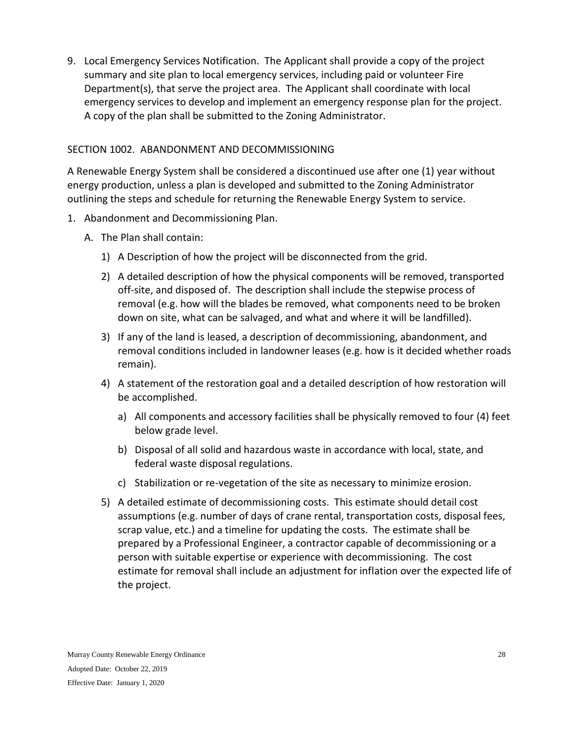9. Local Emergency Services Notification. The Applicant shall provide a copy of the project summary and site plan to local emergency services, including paid or volunteer Fire Department(s), that serve the project area. The Applicant shall coordinate with local emergency services to develop and implement an emergency response plan for the project. A copy of the plan shall be submitted to the Zoning Administrator.

## <span id="page-27-0"></span>SECTION 1002. ABANDONMENT AND DECOMMISSIONING

A Renewable Energy System shall be considered a discontinued use after one (1) year without energy production, unless a plan is developed and submitted to the Zoning Administrator outlining the steps and schedule for returning the Renewable Energy System to service.

- 1. Abandonment and Decommissioning Plan.
	- A. The Plan shall contain:
		- 1) A Description of how the project will be disconnected from the grid.
		- 2) A detailed description of how the physical components will be removed, transported off-site, and disposed of. The description shall include the stepwise process of removal (e.g. how will the blades be removed, what components need to be broken down on site, what can be salvaged, and what and where it will be landfilled).
		- 3) If any of the land is leased, a description of decommissioning, abandonment, and removal conditions included in landowner leases (e.g. how is it decided whether roads remain).
		- 4) A statement of the restoration goal and a detailed description of how restoration will be accomplished.
			- a) All components and accessory facilities shall be physically removed to four (4) feet below grade level.
			- b) Disposal of all solid and hazardous waste in accordance with local, state, and federal waste disposal regulations.
			- c) Stabilization or re-vegetation of the site as necessary to minimize erosion.
		- 5) A detailed estimate of decommissioning costs. This estimate should detail cost assumptions (e.g. number of days of crane rental, transportation costs, disposal fees, scrap value, etc.) and a timeline for updating the costs. The estimate shall be prepared by a Professional Engineer, a contractor capable of decommissioning or a person with suitable expertise or experience with decommissioning. The cost estimate for removal shall include an adjustment for inflation over the expected life of the project.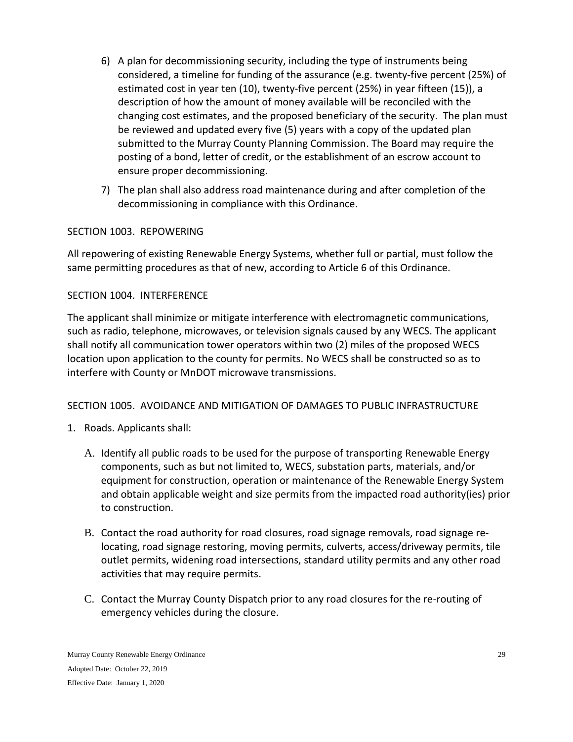- 6) A plan for decommissioning security, including the type of instruments being considered, a timeline for funding of the assurance (e.g. twenty-five percent (25%) of estimated cost in year ten (10), twenty-five percent (25%) in year fifteen (15)), a description of how the amount of money available will be reconciled with the changing cost estimates, and the proposed beneficiary of the security. The plan must be reviewed and updated every five (5) years with a copy of the updated plan submitted to the Murray County Planning Commission. The Board may require the posting of a bond, letter of credit, or the establishment of an escrow account to ensure proper decommissioning.
- 7) The plan shall also address road maintenance during and after completion of the decommissioning in compliance with this Ordinance.

## <span id="page-28-0"></span>SECTION 1003. REPOWERING

All repowering of existing Renewable Energy Systems, whether full or partial, must follow the same permitting procedures as that of new, according to Article 6 of this Ordinance.

# <span id="page-28-1"></span>SECTION 1004. INTERFERENCE

The applicant shall minimize or mitigate interference with electromagnetic communications, such as radio, telephone, microwaves, or television signals caused by any WECS. The applicant shall notify all communication tower operators within two (2) miles of the proposed WECS location upon application to the county for permits. No WECS shall be constructed so as to interfere with County or MnDOT microwave transmissions.

## <span id="page-28-2"></span>SECTION 1005. AVOIDANCE AND MITIGATION OF DAMAGES TO PUBLIC INFRASTRUCTURE

- 1. Roads. Applicants shall:
	- A. Identify all public roads to be used for the purpose of transporting Renewable Energy components, such as but not limited to, WECS, substation parts, materials, and/or equipment for construction, operation or maintenance of the Renewable Energy System and obtain applicable weight and size permits from the impacted road authority(ies) prior to construction.
	- B. Contact the road authority for road closures, road signage removals, road signage relocating, road signage restoring, moving permits, culverts, access/driveway permits, tile outlet permits, widening road intersections, standard utility permits and any other road activities that may require permits.
	- C. Contact the Murray County Dispatch prior to any road closures for the re-routing of emergency vehicles during the closure.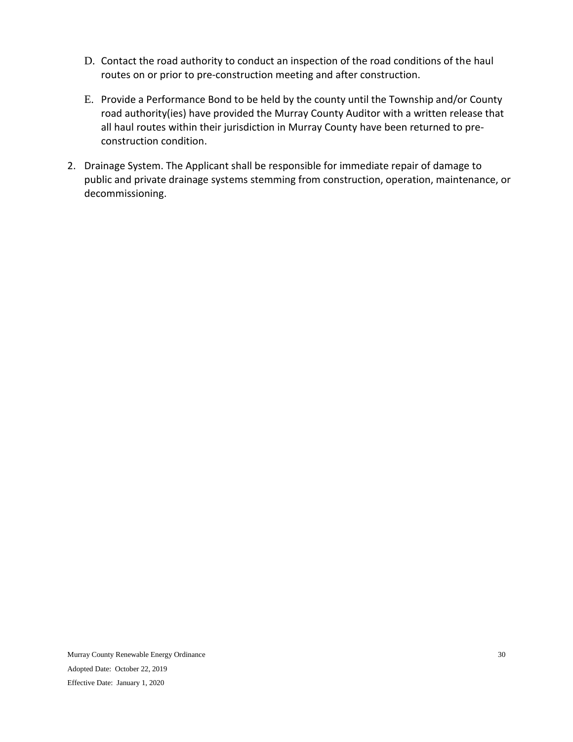- D. Contact the road authority to conduct an inspection of the road conditions of the haul routes on or prior to pre-construction meeting and after construction.
- E. Provide a Performance Bond to be held by the county until the Township and/or County road authority(ies) have provided the Murray County Auditor with a written release that all haul routes within their jurisdiction in Murray County have been returned to preconstruction condition.
- 2. Drainage System. The Applicant shall be responsible for immediate repair of damage to public and private drainage systems stemming from construction, operation, maintenance, or decommissioning.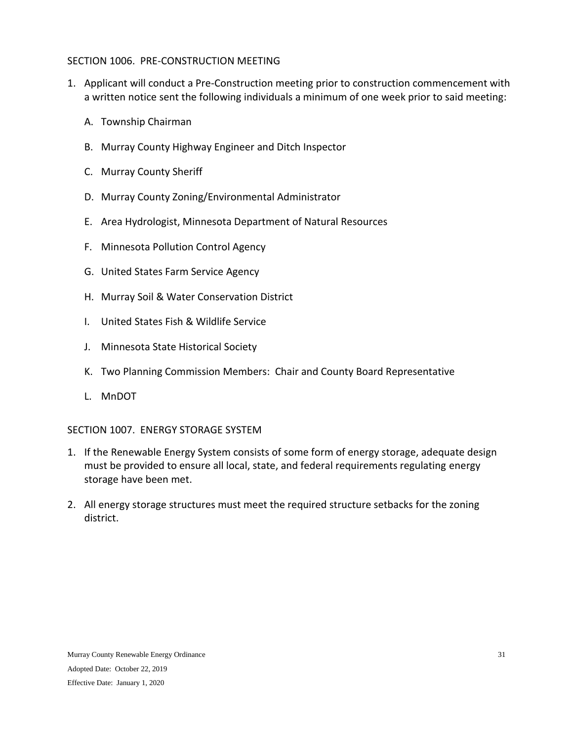#### <span id="page-30-0"></span>SECTION 1006. PRE-CONSTRUCTION MEETING

- 1. Applicant will conduct a Pre-Construction meeting prior to construction commencement with a written notice sent the following individuals a minimum of one week prior to said meeting:
	- A. Township Chairman
	- B. Murray County Highway Engineer and Ditch Inspector
	- C. Murray County Sheriff
	- D. Murray County Zoning/Environmental Administrator
	- E. Area Hydrologist, Minnesota Department of Natural Resources
	- F. Minnesota Pollution Control Agency
	- G. United States Farm Service Agency
	- H. Murray Soil & Water Conservation District
	- I. United States Fish & Wildlife Service
	- J. Minnesota State Historical Society
	- K. Two Planning Commission Members: Chair and County Board Representative
	- L. MnDOT

#### <span id="page-30-1"></span>SECTION 1007. ENERGY STORAGE SYSTEM

- 1. If the Renewable Energy System consists of some form of energy storage, adequate design must be provided to ensure all local, state, and federal requirements regulating energy storage have been met.
- 2. All energy storage structures must meet the required structure setbacks for the zoning district.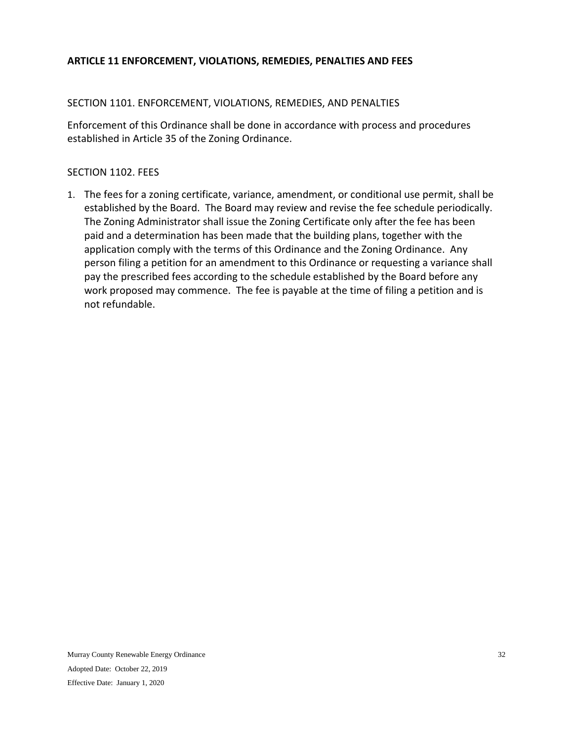## <span id="page-31-0"></span>**ARTICLE 11 ENFORCEMENT, VIOLATIONS, REMEDIES, PENALTIES AND FEES**

## <span id="page-31-1"></span>SECTION 1101. ENFORCEMENT, VIOLATIONS, REMEDIES, AND PENALTIES

Enforcement of this Ordinance shall be done in accordance with process and procedures established in Article 35 of the Zoning Ordinance.

#### <span id="page-31-2"></span>SECTION 1102. FEES

1. The fees for a zoning certificate, variance, amendment, or conditional use permit, shall be established by the Board. The Board may review and revise the fee schedule periodically. The Zoning Administrator shall issue the Zoning Certificate only after the fee has been paid and a determination has been made that the building plans, together with the application comply with the terms of this Ordinance and the Zoning Ordinance. Any person filing a petition for an amendment to this Ordinance or requesting a variance shall pay the prescribed fees according to the schedule established by the Board before any work proposed may commence. The fee is payable at the time of filing a petition and is not refundable.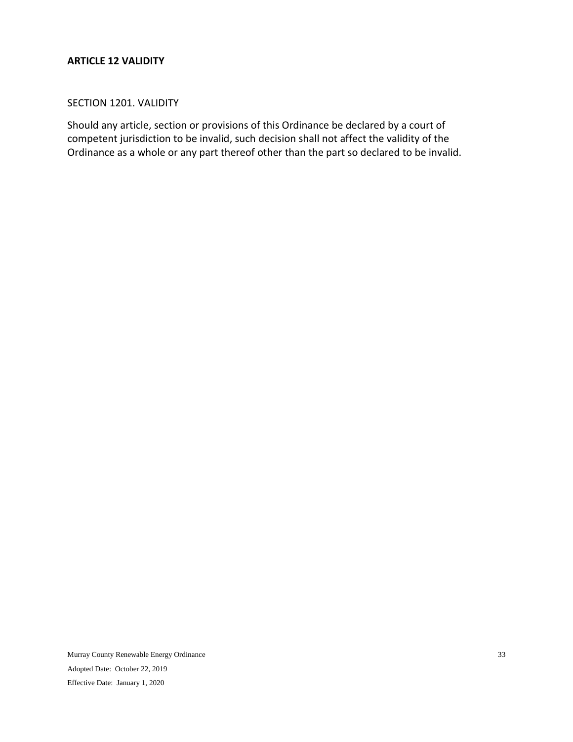#### <span id="page-32-0"></span>**ARTICLE 12 VALIDITY**

#### <span id="page-32-1"></span>SECTION 1201. VALIDITY

Should any article, section or provisions of this Ordinance be declared by a court of competent jurisdiction to be invalid, such decision shall not affect the validity of the Ordinance as a whole or any part thereof other than the part so declared to be invalid.